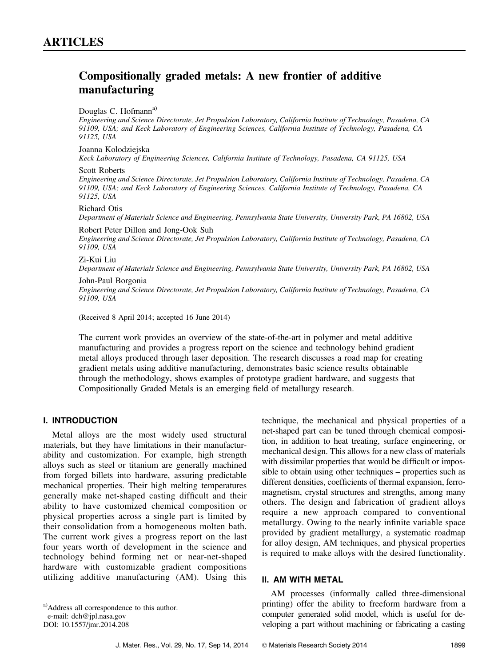# Compositionally graded metals: A new frontier of additive manufacturing

#### Douglas C. Hofmann<sup>a)</sup>

Engineering and Science Directorate, Jet Propulsion Laboratory, California Institute of Technology, Pasadena, CA 91109, USA; and Keck Laboratory of Engineering Sciences, California Institute of Technology, Pasadena, CA 91125, USA

### Joanna Kolodziejska

Keck Laboratory of Engineering Sciences, California Institute of Technology, Pasadena, CA 91125, USA

#### Scott Roberts

Engineering and Science Directorate, Jet Propulsion Laboratory, California Institute of Technology, Pasadena, CA 91109, USA; and Keck Laboratory of Engineering Sciences, California Institute of Technology, Pasadena, CA 91125, USA

### Richard Otis

Department of Materials Science and Engineering, Pennsylvania State University, University Park, PA 16802, USA

#### Robert Peter Dillon and Jong-Ook Suh

Engineering and Science Directorate, Jet Propulsion Laboratory, California Institute of Technology, Pasadena, CA 91109, USA

### Zi-Kui Liu

Department of Materials Science and Engineering, Pennsylvania State University, University Park, PA 16802, USA

### John-Paul Borgonia

Engineering and Science Directorate, Jet Propulsion Laboratory, California Institute of Technology, Pasadena, CA 91109, USA

(Received 8 April 2014; accepted 16 June 2014)

The current work provides an overview of the state-of-the-art in polymer and metal additive manufacturing and provides a progress report on the science and technology behind gradient metal alloys produced through laser deposition. The research discusses a road map for creating gradient metals using additive manufacturing, demonstrates basic science results obtainable through the methodology, shows examples of prototype gradient hardware, and suggests that Compositionally Graded Metals is an emerging field of metallurgy research.

### I. INTRODUCTION

Metal alloys are the most widely used structural materials, but they have limitations in their manufacturability and customization. For example, high strength alloys such as steel or titanium are generally machined from forged billets into hardware, assuring predictable mechanical properties. Their high melting temperatures generally make net-shaped casting difficult and their ability to have customized chemical composition or physical properties across a single part is limited by their consolidation from a homogeneous molten bath. The current work gives a progress report on the last four years worth of development in the science and technology behind forming net or near-net-shaped hardware with customizable gradient compositions utilizing additive manufacturing (AM). Using this

technique, the mechanical and physical properties of a net-shaped part can be tuned through chemical composition, in addition to heat treating, surface engineering, or mechanical design. This allows for a new class of materials with dissimilar properties that would be difficult or impossible to obtain using other techniques – properties such as different densities, coefficients of thermal expansion, ferromagnetism, crystal structures and strengths, among many others. The design and fabrication of gradient alloys require a new approach compared to conventional metallurgy. Owing to the nearly infinite variable space provided by gradient metallurgy, a systematic roadmap for alloy design, AM techniques, and physical properties is required to make alloys with the desired functionality.

### II. AM WITH METAL

AM processes (informally called three-dimensional printing) offer the ability to freeform hardware from a computer generated solid model, which is useful for developing a part without machining or fabricating a casting

a)Address all correspondence to this author.

e-mail: dch@jpl.nasa.gov

DOI: 10.1557/jmr.2014.208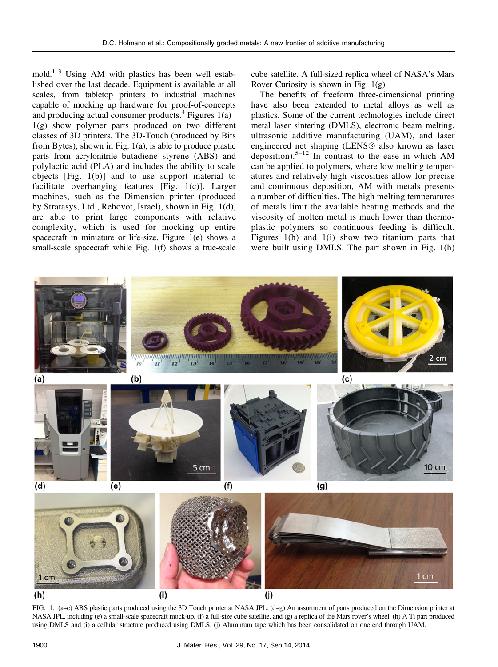mold.<sup>1–3</sup> Using AM with plastics has been well established over the last decade. Equipment is available at all scales, from tabletop printers to industrial machines capable of mocking up hardware for proof-of-concepts and producing actual consumer products.<sup>4</sup> Figures  $1(a)$ – 1(g) show polymer parts produced on two different classes of 3D printers. The 3D-Touch (produced by Bits from Bytes), shown in Fig. 1(a), is able to produce plastic parts from acrylonitrile butadiene styrene (ABS) and polylactic acid (PLA) and includes the ability to scale objects [Fig. 1(b)] and to use support material to facilitate overhanging features [Fig. 1(c)]. Larger machines, such as the Dimension printer (produced by Stratasys, Ltd., Rehovot, Israel), shown in Fig. 1(d), are able to print large components with relative complexity, which is used for mocking up entire spacecraft in miniature or life-size. Figure 1(e) shows a small-scale spacecraft while Fig. 1(f) shows a true-scale

cube satellite. A full-sized replica wheel of NASA's Mars Rover Curiosity is shown in Fig. 1(g).

The benefits of freeform three-dimensional printing have also been extended to metal alloys as well as plastics. Some of the current technologies include direct metal laser sintering (DMLS), electronic beam melting, ultrasonic additive manufacturing (UAM), and laser engineered net shaping (LENS<sup>®</sup> also known as laser deposition).<sup>5–12</sup> In contrast to the ease in which AM can be applied to polymers, where low melting temperatures and relatively high viscosities allow for precise and continuous deposition, AM with metals presents a number of difficulties. The high melting temperatures of metals limit the available heating methods and the viscosity of molten metal is much lower than thermoplastic polymers so continuous feeding is difficult. Figures 1(h) and 1(i) show two titanium parts that were built using DMLS. The part shown in Fig. 1(h)



FIG. 1. (a–c) ABS plastic parts produced using the 3D Touch printer at NASA JPL. (d–g) An assortment of parts produced on the Dimension printer at NASA JPL, including (e) a small-scale spacecraft mock-up, (f) a full-size cube satellite, and (g) a replica of the Mars rover's wheel. (h) A Ti part produced using DMLS and (i) a cellular structure produced using DMLS. (j) Aluminum tape which has been consolidated on one end through UAM.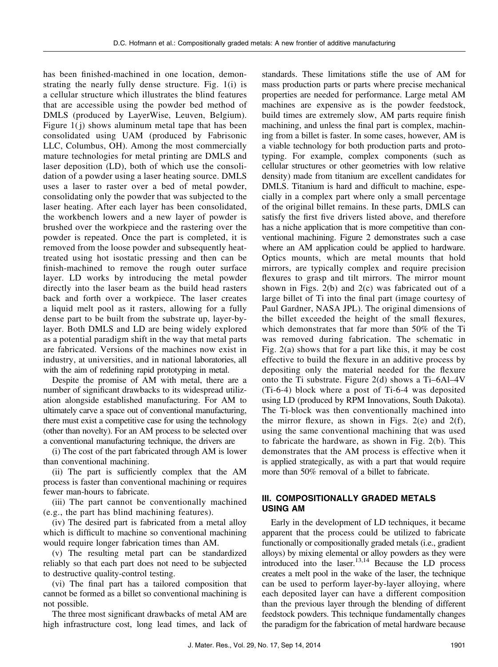has been finished-machined in one location, demonstrating the nearly fully dense structure. Fig. 1(i) is a cellular structure which illustrates the blind features that are accessible using the powder bed method of DMLS (produced by LayerWise, Leuven, Belgium). Figure  $1(i)$  shows aluminum metal tape that has been consolidated using UAM (produced by Fabrisonic LLC, Columbus, OH). Among the most commercially mature technologies for metal printing are DMLS and laser deposition (LD), both of which use the consolidation of a powder using a laser heating source. DMLS uses a laser to raster over a bed of metal powder, consolidating only the powder that was subjected to the laser heating. After each layer has been consolidated, the workbench lowers and a new layer of powder is brushed over the workpiece and the rastering over the powder is repeated. Once the part is completed, it is removed from the loose powder and subsequently heattreated using hot isostatic pressing and then can be finish-machined to remove the rough outer surface layer. LD works by introducing the metal powder directly into the laser beam as the build head rasters back and forth over a workpiece. The laser creates a liquid melt pool as it rasters, allowing for a fully dense part to be built from the substrate up, layer-bylayer. Both DMLS and LD are being widely explored as a potential paradigm shift in the way that metal parts are fabricated. Versions of the machines now exist in industry, at universities, and in national laboratories, all with the aim of redefining rapid prototyping in metal.

Despite the promise of AM with metal, there are a number of significant drawbacks to its widespread utilization alongside established manufacturing. For AM to ultimately carve a space out of conventional manufacturing, there must exist a competitive case for using the technology (other than novelty). For an AM process to be selected over a conventional manufacturing technique, the drivers are

(i) The cost of the part fabricated through AM is lower than conventional machining.

(ii) The part is sufficiently complex that the AM process is faster than conventional machining or requires fewer man-hours to fabricate.

(iii) The part cannot be conventionally machined (e.g., the part has blind machining features).

(iv) The desired part is fabricated from a metal alloy which is difficult to machine so conventional machining would require longer fabrication times than AM.

(v) The resulting metal part can be standardized reliably so that each part does not need to be subjected to destructive quality-control testing.

(vi) The final part has a tailored composition that cannot be formed as a billet so conventional machining is not possible.

The three most significant drawbacks of metal AM are high infrastructure cost, long lead times, and lack of

standards. These limitations stifle the use of AM for mass production parts or parts where precise mechanical properties are needed for performance. Large metal AM machines are expensive as is the powder feedstock, build times are extremely slow, AM parts require finish machining, and unless the final part is complex, machining from a billet is faster. In some cases, however, AM is a viable technology for both production parts and prototyping. For example, complex components (such as cellular structures or other geometries with low relative density) made from titanium are excellent candidates for DMLS. Titanium is hard and difficult to machine, especially in a complex part where only a small percentage of the original billet remains. In these parts, DMLS can satisfy the first five drivers listed above, and therefore has a niche application that is more competitive than conventional machining. Figure 2 demonstrates such a case where an AM application could be applied to hardware. Optics mounts, which are metal mounts that hold mirrors, are typically complex and require precision flexures to grasp and tilt mirrors. The mirror mount shown in Figs. 2(b) and 2(c) was fabricated out of a large billet of Ti into the final part (image courtesy of Paul Gardner, NASA JPL). The original dimensions of the billet exceeded the height of the small flexures, which demonstrates that far more than 50% of the Ti was removed during fabrication. The schematic in Fig. 2(a) shows that for a part like this, it may be cost effective to build the flexure in an additive process by depositing only the material needed for the flexure onto the Ti substrate. Figure 2(d) shows a Ti–6Al–4V (Ti-6-4) block where a post of Ti-6-4 was deposited using LD (produced by RPM Innovations, South Dakota). The Ti-block was then conventionally machined into the mirror flexure, as shown in Figs.  $2(e)$  and  $2(f)$ , using the same conventional machining that was used to fabricate the hardware, as shown in Fig. 2(b). This demonstrates that the AM process is effective when it is applied strategically, as with a part that would require more than 50% removal of a billet to fabricate.

# III. COMPOSITIONALLY GRADED METALS USING AM

Early in the development of LD techniques, it became apparent that the process could be utilized to fabricate functionally or compositionally graded metals (i.e., gradient alloys) by mixing elemental or alloy powders as they were introduced into the laser.13,14 Because the LD process creates a melt pool in the wake of the laser, the technique can be used to perform layer-by-layer alloying, where each deposited layer can have a different composition than the previous layer through the blending of different feedstock powders. This technique fundamentally changes the paradigm for the fabrication of metal hardware because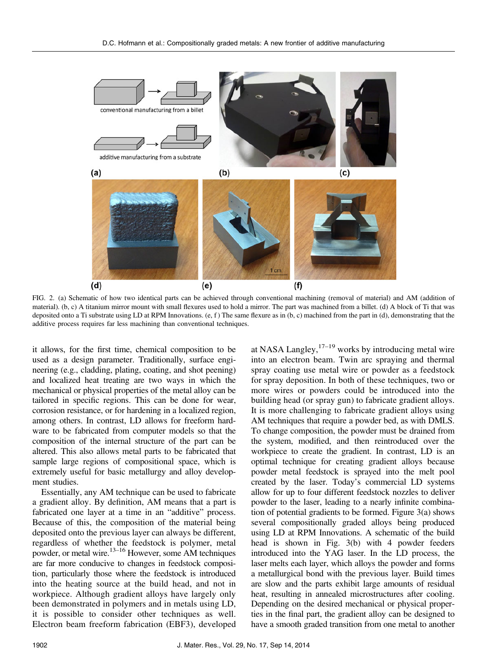

FIG. 2. (a) Schematic of how two identical parts can be achieved through conventional machining (removal of material) and AM (addition of material). (b, c) A titanium mirror mount with small flexures used to hold a mirror. The part was machined from a billet. (d) A block of Ti that was deposited onto a Ti substrate using LD at RPM Innovations.  $(e, f)$  The same flexure as in  $(b, c)$  machined from the part in  $(d)$ , demonstrating that the additive process requires far less machining than conventional techniques.

it allows, for the first time, chemical composition to be used as a design parameter. Traditionally, surface engineering (e.g., cladding, plating, coating, and shot peening) and localized heat treating are two ways in which the mechanical or physical properties of the metal alloy can be tailored in specific regions. This can be done for wear, corrosion resistance, or for hardening in a localized region, among others. In contrast, LD allows for freeform hardware to be fabricated from computer models so that the composition of the internal structure of the part can be altered. This also allows metal parts to be fabricated that sample large regions of compositional space, which is extremely useful for basic metallurgy and alloy development studies.

Essentially, any AM technique can be used to fabricate a gradient alloy. By definition, AM means that a part is fabricated one layer at a time in an "additive" process. Because of this, the composition of the material being deposited onto the previous layer can always be different, regardless of whether the feedstock is polymer, metal powder, or metal wire.<sup>13–16</sup> However, some AM techniques are far more conducive to changes in feedstock composition, particularly those where the feedstock is introduced into the heating source at the build head, and not in workpiece. Although gradient alloys have largely only been demonstrated in polymers and in metals using LD, it is possible to consider other techniques as well. Electron beam freeform fabrication (EBF3), developed at NASA Langley, $17-19$  works by introducing metal wire into an electron beam. Twin arc spraying and thermal spray coating use metal wire or powder as a feedstock for spray deposition. In both of these techniques, two or more wires or powders could be introduced into the building head (or spray gun) to fabricate gradient alloys. It is more challenging to fabricate gradient alloys using AM techniques that require a powder bed, as with DMLS. To change composition, the powder must be drained from the system, modified, and then reintroduced over the workpiece to create the gradient. In contrast, LD is an optimal technique for creating gradient alloys because powder metal feedstock is sprayed into the melt pool created by the laser. Today's commercial LD systems allow for up to four different feedstock nozzles to deliver powder to the laser, leading to a nearly infinite combination of potential gradients to be formed. Figure 3(a) shows several compositionally graded alloys being produced using LD at RPM Innovations. A schematic of the build head is shown in Fig. 3(b) with 4 powder feeders introduced into the YAG laser. In the LD process, the laser melts each layer, which alloys the powder and forms a metallurgical bond with the previous layer. Build times are slow and the parts exhibit large amounts of residual heat, resulting in annealed microstructures after cooling. Depending on the desired mechanical or physical properties in the final part, the gradient alloy can be designed to have a smooth graded transition from one metal to another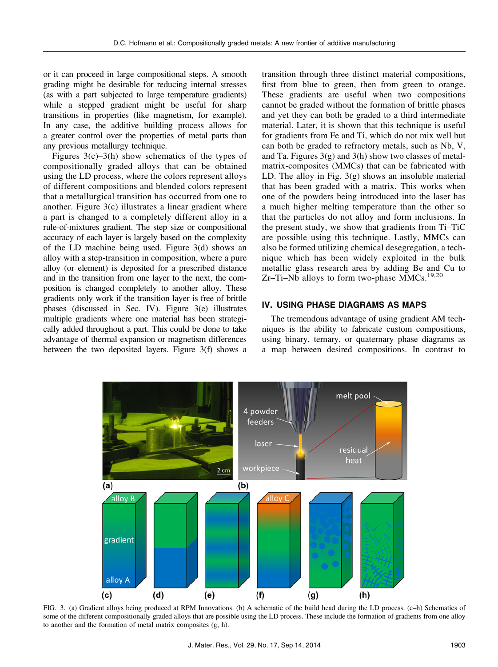or it can proceed in large compositional steps. A smooth grading might be desirable for reducing internal stresses (as with a part subjected to large temperature gradients) while a stepped gradient might be useful for sharp transitions in properties (like magnetism, for example). In any case, the additive building process allows for a greater control over the properties of metal parts than any previous metallurgy technique.

Figures  $3(c)$ –3(h) show schematics of the types of compositionally graded alloys that can be obtained using the LD process, where the colors represent alloys of different compositions and blended colors represent that a metallurgical transition has occurred from one to another. Figure 3(c) illustrates a linear gradient where a part is changed to a completely different alloy in a rule-of-mixtures gradient. The step size or compositional accuracy of each layer is largely based on the complexity of the LD machine being used. Figure 3(d) shows an alloy with a step-transition in composition, where a pure alloy (or element) is deposited for a prescribed distance and in the transition from one layer to the next, the composition is changed completely to another alloy. These gradients only work if the transition layer is free of brittle phases (discussed in Sec. IV). Figure 3(e) illustrates multiple gradients where one material has been strategically added throughout a part. This could be done to take advantage of thermal expansion or magnetism differences between the two deposited layers. Figure 3(f) shows a

transition through three distinct material compositions, first from blue to green, then from green to orange. These gradients are useful when two compositions cannot be graded without the formation of brittle phases and yet they can both be graded to a third intermediate material. Later, it is shown that this technique is useful for gradients from Fe and Ti, which do not mix well but can both be graded to refractory metals, such as Nb, V, and Ta. Figures  $3(g)$  and  $3(h)$  show two classes of metalmatrix-composites (MMCs) that can be fabricated with LD. The alloy in Fig.  $3(g)$  shows an insoluble material that has been graded with a matrix. This works when one of the powders being introduced into the laser has a much higher melting temperature than the other so that the particles do not alloy and form inclusions. In the present study, we show that gradients from Ti–TiC are possible using this technique. Lastly, MMCs can also be formed utilizing chemical desegregation, a technique which has been widely exploited in the bulk metallic glass research area by adding Be and Cu to Zr-Ti-Nb alloys to form two-phase MMCs.<sup>19,20</sup>

### IV. USING PHASE DIAGRAMS AS MAPS

The tremendous advantage of using gradient AM techniques is the ability to fabricate custom compositions, using binary, ternary, or quaternary phase diagrams as a map between desired compositions. In contrast to



FIG. 3. (a) Gradient alloys being produced at RPM Innovations. (b) A schematic of the build head during the LD process. (c–h) Schematics of some of the different compositionally graded alloys that are possible using the LD process. These include the formation of gradients from one alloy to another and the formation of metal matrix composites (g, h).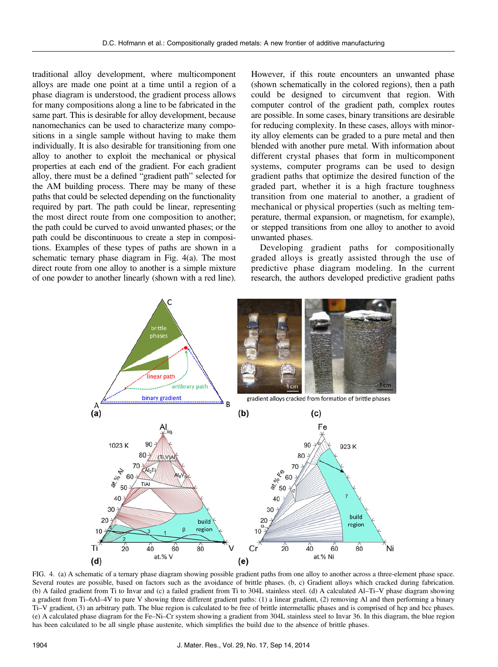traditional alloy development, where multicomponent alloys are made one point at a time until a region of a phase diagram is understood, the gradient process allows for many compositions along a line to be fabricated in the same part. This is desirable for alloy development, because nanomechanics can be used to characterize many compositions in a single sample without having to make them individually. It is also desirable for transitioning from one alloy to another to exploit the mechanical or physical properties at each end of the gradient. For each gradient alloy, there must be a defined "gradient path" selected for the AM building process. There may be many of these paths that could be selected depending on the functionality required by part. The path could be linear, representing the most direct route from one composition to another; the path could be curved to avoid unwanted phases; or the path could be discontinuous to create a step in compositions. Examples of these types of paths are shown in a schematic ternary phase diagram in Fig. 4(a). The most direct route from one alloy to another is a simple mixture of one powder to another linearly (shown with a red line).

However, if this route encounters an unwanted phase (shown schematically in the colored regions), then a path could be designed to circumvent that region. With computer control of the gradient path, complex routes are possible. In some cases, binary transitions are desirable for reducing complexity. In these cases, alloys with minority alloy elements can be graded to a pure metal and then blended with another pure metal. With information about different crystal phases that form in multicomponent systems, computer programs can be used to design gradient paths that optimize the desired function of the graded part, whether it is a high fracture toughness transition from one material to another, a gradient of mechanical or physical properties (such as melting temperature, thermal expansion, or magnetism, for example), or stepped transitions from one alloy to another to avoid unwanted phases.

Developing gradient paths for compositionally graded alloys is greatly assisted through the use of predictive phase diagram modeling. In the current research, the authors developed predictive gradient paths



FIG. 4. (a) A schematic of a ternary phase diagram showing possible gradient paths from one alloy to another across a three-element phase space. Several routes are possible, based on factors such as the avoidance of brittle phases. (b, c) Gradient alloys which cracked during fabrication. (b) A failed gradient from Ti to Invar and (c) a failed gradient from Ti to 304L stainless steel. (d) A calculated Al–Ti–V phase diagram showing a gradient from Ti–6Al–4V to pure V showing three different gradient paths: (1) a linear gradient, (2) removing Al and then performing a binary Ti–V gradient, (3) an arbitrary path. The blue region is calculated to be free of brittle intermetallic phases and is comprised of hcp and bcc phases. (e) A calculated phase diagram for the Fe–Ni–Cr system showing a gradient from 304L stainless steel to Invar 36. In this diagram, the blue region has been calculated to be all single phase austenite, which simplifies the build due to the absence of brittle phases.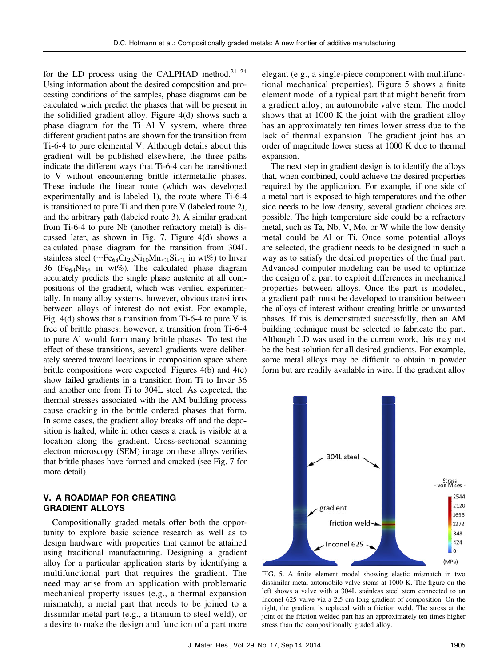for the LD process using the CALPHAD method. $21-24$ Using information about the desired composition and processing conditions of the samples, phase diagrams can be calculated which predict the phases that will be present in the solidified gradient alloy. Figure 4(d) shows such a phase diagram for the Ti–Al–V system, where three different gradient paths are shown for the transition from Ti-6-4 to pure elemental V. Although details about this gradient will be published elsewhere, the three paths indicate the different ways that Ti-6-4 can be transitioned to V without encountering brittle intermetallic phases. These include the linear route (which was developed experimentally and is labeled 1), the route where Ti-6-4 is transitioned to pure Ti and then pure V (labeled route 2), and the arbitrary path (labeled route 3). A similar gradient from Ti-6-4 to pure Nb (another refractory metal) is discussed later, as shown in Fig. 7. Figure 4(d) shows a calculated phase diagram for the transition from 304L stainless steel ( $\sim$ Fe<sub>68</sub>Cr<sub>20</sub>Ni<sub>10</sub>Mn<sub><1</sub>Si<sub> $\lt$ 1</sub> in wt%) to Invar 36 (Fe<sub>64</sub>Ni<sub>36</sub> in wt%). The calculated phase diagram accurately predicts the single phase austenite at all compositions of the gradient, which was verified experimentally. In many alloy systems, however, obvious transitions between alloys of interest do not exist. For example, Fig. 4(d) shows that a transition from Ti-6-4 to pure V is free of brittle phases; however, a transition from Ti-6-4 to pure Al would form many brittle phases. To test the effect of these transitions, several gradients were deliberately steered toward locations in composition space where brittle compositions were expected. Figures 4(b) and 4(c) show failed gradients in a transition from Ti to Invar 36 and another one from Ti to 304L steel. As expected, the thermal stresses associated with the AM building process cause cracking in the brittle ordered phases that form. In some cases, the gradient alloy breaks off and the deposition is halted, while in other cases a crack is visible at a location along the gradient. Cross-sectional scanning electron microscopy (SEM) image on these alloys verifies that brittle phases have formed and cracked (see Fig. 7 for more detail).

# V. A ROADMAP FOR CREATING GRADIENT ALLOYS

Compositionally graded metals offer both the opportunity to explore basic science research as well as to design hardware with properties that cannot be attained using traditional manufacturing. Designing a gradient alloy for a particular application starts by identifying a multifunctional part that requires the gradient. The need may arise from an application with problematic mechanical property issues (e.g., a thermal expansion mismatch), a metal part that needs to be joined to a dissimilar metal part (e.g., a titanium to steel weld), or a desire to make the design and function of a part more

elegant (e.g., a single-piece component with multifunctional mechanical properties). Figure 5 shows a finite element model of a typical part that might benefit from a gradient alloy; an automobile valve stem. The model shows that at 1000 K the joint with the gradient alloy has an approximately ten times lower stress due to the lack of thermal expansion. The gradient joint has an order of magnitude lower stress at 1000 K due to thermal expansion.

The next step in gradient design is to identify the alloys that, when combined, could achieve the desired properties required by the application. For example, if one side of a metal part is exposed to high temperatures and the other side needs to be low density, several gradient choices are possible. The high temperature side could be a refractory metal, such as Ta, Nb, V, Mo, or W while the low density metal could be Al or Ti. Once some potential alloys are selected, the gradient needs to be designed in such a way as to satisfy the desired properties of the final part. Advanced computer modeling can be used to optimize the design of a part to exploit differences in mechanical properties between alloys. Once the part is modeled, a gradient path must be developed to transition between the alloys of interest without creating brittle or unwanted phases. If this is demonstrated successfully, then an AM building technique must be selected to fabricate the part. Although LD was used in the current work, this may not be the best solution for all desired gradients. For example, some metal alloys may be difficult to obtain in powder form but are readily available in wire. If the gradient alloy



FIG. 5. A finite element model showing elastic mismatch in two dissimilar metal automobile valve stems at 1000 K. The figure on the left shows a valve with a 304L stainless steel stem connected to an Inconel 625 valve via a 2.5 cm long gradient of composition. On the right, the gradient is replaced with a friction weld. The stress at the joint of the friction welded part has an approximately ten times higher stress than the compositionally graded alloy.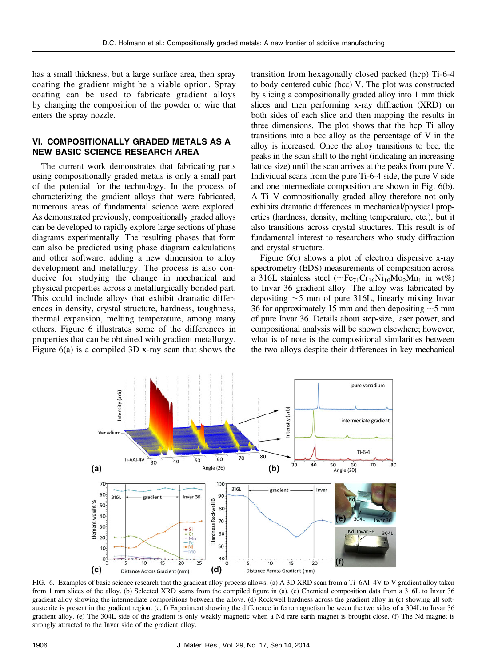has a small thickness, but a large surface area, then spray coating the gradient might be a viable option. Spray coating can be used to fabricate gradient alloys by changing the composition of the powder or wire that enters the spray nozzle.

# VI. COMPOSITIONALLY GRADED METALS AS A NEW BASIC SCIENCE RESEARCH AREA

The current work demonstrates that fabricating parts using compositionally graded metals is only a small part of the potential for the technology. In the process of characterizing the gradient alloys that were fabricated, numerous areas of fundamental science were explored. As demonstrated previously, compositionally graded alloys can be developed to rapidly explore large sections of phase diagrams experimentally. The resulting phases that form can also be predicted using phase diagram calculations and other software, adding a new dimension to alloy development and metallurgy. The process is also conducive for studying the change in mechanical and physical properties across a metallurgically bonded part. This could include alloys that exhibit dramatic differences in density, crystal structure, hardness, toughness, thermal expansion, melting temperature, among many others. Figure 6 illustrates some of the differences in properties that can be obtained with gradient metallurgy. Figure 6(a) is a compiled 3D x-ray scan that shows the

transition from hexagonally closed packed (hcp) Ti-6-4 to body centered cubic (bcc) V. The plot was constructed by slicing a compositionally graded alloy into 1 mm thick slices and then performing x-ray diffraction (XRD) on both sides of each slice and then mapping the results in three dimensions. The plot shows that the hcp Ti alloy transitions into a bcc alloy as the percentage of V in the alloy is increased. Once the alloy transitions to bcc, the peaks in the scan shift to the right (indicating an increasing lattice size) until the scan arrives at the peaks from pure V. Individual scans from the pure Ti-6-4 side, the pure V side and one intermediate composition are shown in Fig. 6(b). A Ti–V compositionally graded alloy therefore not only exhibits dramatic differences in mechanical/physical properties (hardness, density, melting temperature, etc.), but it also transitions across crystal structures. This result is of fundamental interest to researchers who study diffraction and crystal structure.

Figure 6(c) shows a plot of electron dispersive x-ray spectrometry (EDS) measurements of composition across a 316L stainless steel ( $\sim$ Fe<sub>71</sub>Cr<sub>16</sub>Ni<sub>10</sub>Mo<sub>2</sub>Mn<sub>1</sub> in wt%) to Invar 36 gradient alloy. The alloy was fabricated by depositing  $\sim$  5 mm of pure 316L, linearly mixing Invar 36 for approximately 15 mm and then depositing  $\sim$  5 mm of pure Invar 36. Details about step-size, laser power, and compositional analysis will be shown elsewhere; however, what is of note is the compositional similarities between the two alloys despite their differences in key mechanical



FIG. 6. Examples of basic science research that the gradient alloy process allows. (a) A 3D XRD scan from a Ti–6Al–4V to V gradient alloy taken from 1 mm slices of the alloy. (b) Selected XRD scans from the compiled figure in (a). (c) Chemical composition data from a 316L to Invar 36 gradient alloy showing the intermediate compositions between the alloys. (d) Rockwell hardness across the gradient alloy in (c) showing all softaustenite is present in the gradient region. (e, f) Experiment showing the difference in ferromagnetism between the two sides of a 304L to Invar 36 gradient alloy. (e) The 304L side of the gradient is only weakly magnetic when a Nd rare earth magnet is brought close. (f) The Nd magnet is strongly attracted to the Invar side of the gradient alloy.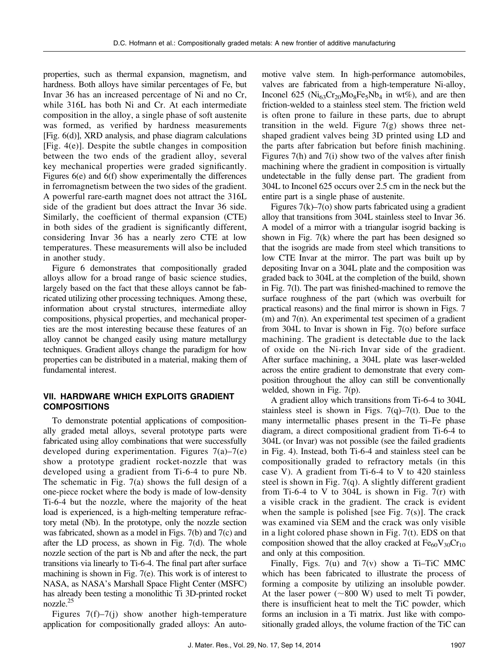properties, such as thermal expansion, magnetism, and hardness. Both alloys have similar percentages of Fe, but Invar 36 has an increased percentage of Ni and no Cr, while 316L has both Ni and Cr. At each intermediate composition in the alloy, a single phase of soft austenite was formed, as verified by hardness measurements [Fig. 6(d)], XRD analysis, and phase diagram calculations [Fig. 4(e)]. Despite the subtle changes in composition between the two ends of the gradient alloy, several key mechanical properties were graded significantly. Figures 6(e) and 6(f) show experimentally the differences in ferromagnetism between the two sides of the gradient. A powerful rare-earth magnet does not attract the 316L side of the gradient but does attract the Invar 36 side. Similarly, the coefficient of thermal expansion (CTE) in both sides of the gradient is significantly different, considering Invar 36 has a nearly zero CTE at low temperatures. These measurements will also be included in another study.

Figure 6 demonstrates that compositionally graded alloys allow for a broad range of basic science studies, largely based on the fact that these alloys cannot be fabricated utilizing other processing techniques. Among these, information about crystal structures, intermediate alloy compositions, physical properties, and mechanical properties are the most interesting because these features of an alloy cannot be changed easily using mature metallurgy techniques. Gradient alloys change the paradigm for how properties can be distributed in a material, making them of fundamental interest.

# VII. HARDWARE WHICH EXPLOITS GRADIENT **COMPOSITIONS**

To demonstrate potential applications of compositionally graded metal alloys, several prototype parts were fabricated using alloy combinations that were successfully developed during experimentation. Figures  $7(a)$ – $7(e)$ show a prototype gradient rocket-nozzle that was developed using a gradient from Ti-6-4 to pure Nb. The schematic in Fig. 7(a) shows the full design of a one-piece rocket where the body is made of low-density Ti-6-4 but the nozzle, where the majority of the heat load is experienced, is a high-melting temperature refractory metal (Nb). In the prototype, only the nozzle section was fabricated, shown as a model in Figs. 7(b) and 7(c) and after the LD process, as shown in Fig. 7(d). The whole nozzle section of the part is Nb and after the neck, the part transitions via linearly to Ti-6-4. The final part after surface machining is shown in Fig. 7(e). This work is of interest to NASA, as NASA's Marshall Space Flight Center (MSFC) has already been testing a monolithic Ti 3D-printed rocket nozzle.25

Figures  $7(f)$ – $7(j)$  show another high-temperature application for compositionally graded alloys: An auto-

motive valve stem. In high-performance automobiles, valves are fabricated from a high-temperature Ni-alloy, Inconel 625 ( $Ni<sub>63</sub>Cr<sub>20</sub>Mo<sub>8</sub>Fe<sub>5</sub>Nb<sub>4</sub>$  in wt%), and are then friction-welded to a stainless steel stem. The friction weld is often prone to failure in these parts, due to abrupt transition in the weld. Figure  $7(g)$  shows three netshaped gradient valves being 3D printed using LD and the parts after fabrication but before finish machining. Figures 7(h) and 7(i) show two of the valves after finish machining where the gradient in composition is virtually undetectable in the fully dense part. The gradient from 304L to Inconel 625 occurs over 2.5 cm in the neck but the entire part is a single phase of austenite.

Figures  $7(k)$ – $7(0)$  show parts fabricated using a gradient alloy that transitions from 304L stainless steel to Invar 36. A model of a mirror with a triangular isogrid backing is shown in Fig. 7(k) where the part has been designed so that the isogrids are made from steel which transitions to low CTE Invar at the mirror. The part was built up by depositing Invar on a 304L plate and the composition was graded back to 304L at the completion of the build, shown in Fig. 7(l). The part was finished-machined to remove the surface roughness of the part (which was overbuilt for practical reasons) and the final mirror is shown in Figs. 7 (m) and 7(n). An experimental test specimen of a gradient from 304L to Invar is shown in Fig. 7(o) before surface machining. The gradient is detectable due to the lack of oxide on the Ni-rich Invar side of the gradient. After surface machining, a 304L plate was laser-welded across the entire gradient to demonstrate that every composition throughout the alloy can still be conventionally welded, shown in Fig. 7(p).

A gradient alloy which transitions from Ti-6-4 to 304L stainless steel is shown in Figs.  $7(q)$ – $7(t)$ . Due to the many intermetallic phases present in the Ti–Fe phase diagram, a direct compositional gradient from Ti-6-4 to 304L (or Invar) was not possible (see the failed gradients in Fig. 4). Instead, both Ti-6-4 and stainless steel can be compositionally graded to refractory metals (in this case V). A gradient from Ti-6-4 to V to 420 stainless steel is shown in Fig. 7(q). A slightly different gradient from Ti-6-4 to V to 304L is shown in Fig.  $7(r)$  with a visible crack in the gradient. The crack is evident when the sample is polished [see Fig.  $7(s)$ ]. The crack was examined via SEM and the crack was only visible in a light colored phase shown in Fig. 7(t). EDS on that composition showed that the alloy cracked at  $Fe_{60}V_{30}Cr_{10}$ and only at this composition.

Finally, Figs.  $7(u)$  and  $7(v)$  show a Ti–TiC MMC which has been fabricated to illustrate the process of forming a composite by utilizing an insoluble powder. At the laser power  $(\sim 800 \text{ W})$  used to melt Ti powder, there is insufficient heat to melt the TiC powder, which forms an inclusion in a Ti matrix. Just like with compositionally graded alloys, the volume fraction of the TiC can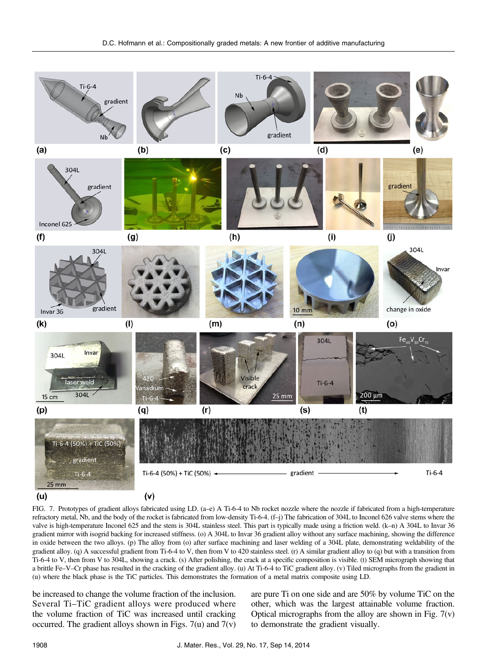

FIG. 7. Prototypes of gradient alloys fabricated using LD. (a–e) A Ti-6-4 to Nb rocket nozzle where the nozzle if fabricated from a high-temperature refractory metal, Nb, and the body of the rocket is fabricated from low-density Ti-6-4. (f–j) The fabrication of 304L to Inconel 626 valve stems where the valve is high-temperature Inconel 625 and the stem is 304L stainless steel. This part is typically made using a friction weld. (k–n) A 304L to Invar 36 gradient mirror with isogrid backing for increased stiffness. (o) A 304L to Invar 36 gradient alloy without any surface machining, showing the difference in oxide between the two alloys. (p) The alloy from (o) after surface machining and laser welding of a 304L plate, demonstrating weldability of the gradient alloy. (q) A successful gradient from Ti-6-4 to V, then from V to 420 stainless steel. (r) A similar gradient alloy to (q) but with a transition from Ti-6-4 to V, then from V to 304L, showing a crack. (s) After polishing, the crack at a specific composition is visible. (t) SEM micrograph showing that a brittle Fe–V–Cr phase has resulted in the cracking of the gradient alloy. (u) At Ti-6-4 to TiC gradient alloy. (v) Tiled micrographs from the gradient in (u) where the black phase is the TiC particles. This demonstrates the formation of a metal matrix composite using LD.

be increased to change the volume fraction of the inclusion. Several Ti–TiC gradient alloys were produced where the volume fraction of TiC was increased until cracking occurred. The gradient alloys shown in Figs.  $7(u)$  and  $7(v)$  are pure Ti on one side and are 50% by volume TiC on the other, which was the largest attainable volume fraction. Optical micrographs from the alloy are shown in Fig.  $7(v)$ to demonstrate the gradient visually.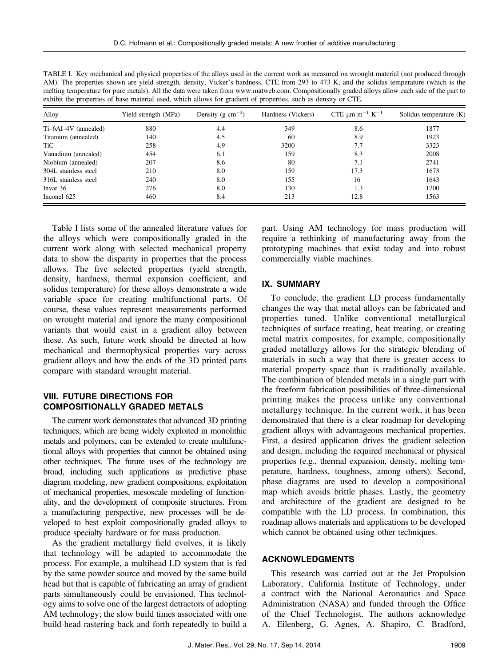| The properties shown are yield strength, density, viewer s naturess, $C1L$ from 279 to $\pm$ 19 ft, and the solidas temperature (which is the<br>melting temperature for pure metals). All the data were taken from www.matweb.com. Compositionally graded alloys allow each side of the part to<br>exhibit the properties of base material used, which allows for gradient of properties, such as density or CTE. |                      |                               |                    |                                             |                         |
|--------------------------------------------------------------------------------------------------------------------------------------------------------------------------------------------------------------------------------------------------------------------------------------------------------------------------------------------------------------------------------------------------------------------|----------------------|-------------------------------|--------------------|---------------------------------------------|-------------------------|
| Alloy                                                                                                                                                                                                                                                                                                                                                                                                              | Yield strength (MPa) | Density (g $\text{cm}^{-3}$ ) | Hardness (Vickers) | CTE $\mu$ m m <sup>-1</sup> K <sup>-1</sup> | Solidus temperature (K) |
| Ti-6Al-4V (annealed)                                                                                                                                                                                                                                                                                                                                                                                               | 880                  | 4.4                           | 349                | 8.6                                         | 1877                    |
| Titanium (annealed)                                                                                                                                                                                                                                                                                                                                                                                                | 140                  | 4.5                           | -60                | 8.9                                         | 1923                    |
| TiC.                                                                                                                                                                                                                                                                                                                                                                                                               | 258                  | 4.9                           | 3200               | 7.7                                         | 3323                    |
| Vanadium (annealed)                                                                                                                                                                                                                                                                                                                                                                                                | 454                  | 6.1                           | 159                | 8.3                                         | 2008                    |
| Niobium (annealed)                                                                                                                                                                                                                                                                                                                                                                                                 | 207                  | 8.6                           | 80                 | 7.1                                         | 2741                    |
| 304L stainless steel                                                                                                                                                                                                                                                                                                                                                                                               | 210                  | 8.0                           | 159                | 17.3                                        | 1673                    |
| 316L stainless steel                                                                                                                                                                                                                                                                                                                                                                                               | 240                  | 8.0                           | 155                | 16                                          | 1643                    |
| Invar 36                                                                                                                                                                                                                                                                                                                                                                                                           | 276                  | 8.0                           | 130                | 1.3                                         | 1700                    |
| Inconel 625                                                                                                                                                                                                                                                                                                                                                                                                        | 460                  | 8.4                           | 213                | 12.8                                        | 1563                    |

TABLE I. Key mechanical and physical properties of the alloys used in the current work as measured on wrought material (not produced through AM). The properties shown are yield strength, density, Vicker's hardness, CTE from 293 to 473 K, and the solidus temperature (which is the

Table I lists some of the annealed literature values for the alloys which were compositionally graded in the current work along with selected mechanical property data to show the disparity in properties that the process allows. The five selected properties (yield strength, density, hardness, thermal expansion coefficient, and solidus temperature) for these alloys demonstrate a wide variable space for creating multifunctional parts. Of course, these values represent measurements performed on wrought material and ignore the many compositional variants that would exist in a gradient alloy between these. As such, future work should be directed at how mechanical and thermophysical properties vary across gradient alloys and how the ends of the 3D printed parts compare with standard wrought material.

# VIII. FUTURE DIRECTIONS FOR COMPOSITIONALLY GRADED METALS

The current work demonstrates that advanced 3D printing techniques, which are being widely exploited in monolithic metals and polymers, can be extended to create multifunctional alloys with properties that cannot be obtained using other techniques. The future uses of the technology are broad, including such applications as predictive phase diagram modeling, new gradient compositions, exploitation of mechanical properties, mesoscale modeling of functionality, and the development of composite structures. From a manufacturing perspective, new processes will be developed to best exploit compositionally graded alloys to produce specialty hardware or for mass production.

As the gradient metallurgy field evolves, it is likely that technology will be adapted to accommodate the process. For example, a multihead LD system that is fed by the same powder source and moved by the same build head but that is capable of fabricating an array of gradient parts simultaneously could be envisioned. This technology aims to solve one of the largest detractors of adopting AM technology; the slow build times associated with one build-head rastering back and forth repeatedly to build a part. Using AM technology for mass production will require a rethinking of manufacturing away from the prototyping machines that exist today and into robust commercially viable machines.

### IX. SUMMARY

To conclude, the gradient LD process fundamentally changes the way that metal alloys can be fabricated and properties tuned. Unlike conventional metallurgical techniques of surface treating, heat treating, or creating metal matrix composites, for example, compositionally graded metallurgy allows for the strategic blending of materials in such a way that there is greater access to material property space than is traditionally available. The combination of blended metals in a single part with the freeform fabrication possibilities of three-dimensional printing makes the process unlike any conventional metallurgy technique. In the current work, it has been demonstrated that there is a clear roadmap for developing gradient alloys with advantageous mechanical properties. First, a desired application drives the gradient selection and design, including the required mechanical or physical properties (e.g., thermal expansion, density, melting temperature, hardness, toughness, among others). Second, phase diagrams are used to develop a compositional map which avoids brittle phases. Lastly, the geometry and architecture of the gradient are designed to be compatible with the LD process. In combination, this roadmap allows materials and applications to be developed which cannot be obtained using other techniques.

### ACKNOWLEDGMENTS

This research was carried out at the Jet Propulsion Laboratory, California Institute of Technology, under a contract with the National Aeronautics and Space Administration (NASA) and funded through the Office of the Chief Technologist. The authors acknowledge A. Eilenberg, G. Agnes, A. Shapiro, C. Bradford,